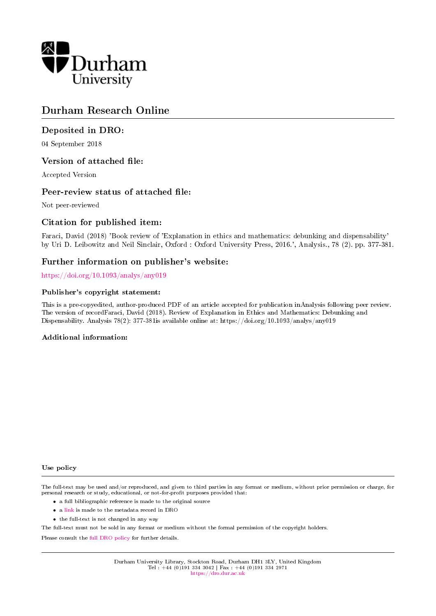

# Durham Research Online

### Deposited in DRO:

04 September 2018

### Version of attached file:

Accepted Version

### Peer-review status of attached file:

Not peer-reviewed

## Citation for published item:

Faraci, David (2018) 'Book review of 'Explanation in ethics and mathematics: debunking and dispensability' by Uri D. Leibowitz and Neil Sinclair, Oxford : Oxford University Press, 2016.', Analysis., 78 (2). pp. 377-381.

### Further information on publisher's website:

<https://doi.org/10.1093/analys/any019>

#### Publisher's copyright statement:

This is a pre-copyedited, author-produced PDF of an article accepted for publication inAnalysis following peer review. The version of recordFaraci, David (2018). Review of Explanation in Ethics and Mathematics: Debunking and Dispensability. Analysis 78(2): 377-381is available online at: https://doi.org/10.1093/analys/any019

#### Additional information:

#### Use policy

The full-text may be used and/or reproduced, and given to third parties in any format or medium, without prior permission or charge, for personal research or study, educational, or not-for-profit purposes provided that:

- a full bibliographic reference is made to the original source
- a [link](http://dro.dur.ac.uk/26068/) is made to the metadata record in DRO
- the full-text is not changed in any way

The full-text must not be sold in any format or medium without the formal permission of the copyright holders.

Please consult the [full DRO policy](https://dro.dur.ac.uk/policies/usepolicy.pdf) for further details.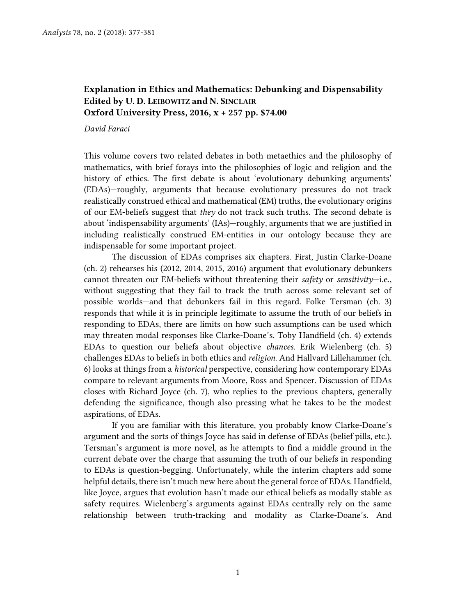## **Explanation in Ethics and Mathematics: Debunking and Dispensability Edited by U. D. LEIBOWITZ and N. SINCLAIR Oxford University Press, 2016, x + 257 pp. \$74.00**

#### *David Faraci*

This volume covers two related debates in both metaethics and the philosophy of mathematics, with brief forays into the philosophies of logic and religion and the history of ethics. The first debate is about 'evolutionary debunking arguments' (EDAs)—roughly, arguments that because evolutionary pressures do not track realistically construed ethical and mathematical (EM) truths, the evolutionary origins of our EM-beliefs suggest that *they* do not track such truths. The second debate is about 'indispensability arguments' (IAs)—roughly, arguments that we are justified in including realistically construed EM-entities in our ontology because they are indispensable for some important project.

The discussion of EDAs comprises six chapters. First, Justin Clarke-Doane (ch. 2) rehearses his (2012, 2014, 2015, 2016) argument that evolutionary debunkers cannot threaten our EM-beliefs without threatening their *safety* or *sensitivity*—i.e., without suggesting that they fail to track the truth across some relevant set of possible worlds—and that debunkers fail in this regard. Folke Tersman (ch. 3) responds that while it is in principle legitimate to assume the truth of our beliefs in responding to EDAs, there are limits on how such assumptions can be used which may threaten modal responses like Clarke-Doane's. Toby Handfield (ch. 4) extends EDAs to question our beliefs about objective *chances.* Erik Wielenberg (ch. 5) challenges EDAs to beliefs in both ethics and *religion.* And Hallvard Lillehammer (ch. 6) looks at things from a *historical* perspective, considering how contemporary EDAs compare to relevant arguments from Moore, Ross and Spencer. Discussion of EDAs closes with Richard Joyce (ch. 7), who replies to the previous chapters, generally defending the significance, though also pressing what he takes to be the modest aspirations, of EDAs.

If you are familiar with this literature, you probably know Clarke-Doane's argument and the sorts of things Joyce has said in defense of EDAs (belief pills, etc.). Tersman's argument is more novel, as he attempts to find a middle ground in the current debate over the charge that assuming the truth of our beliefs in responding to EDAs is question-begging. Unfortunately, while the interim chapters add some helpful details, there isn't much new here about the general force of EDAs. Handfield, like Joyce, argues that evolution hasn't made our ethical beliefs as modally stable as safety requires. Wielenberg's arguments against EDAs centrally rely on the same relationship between truth-tracking and modality as Clarke-Doane's. And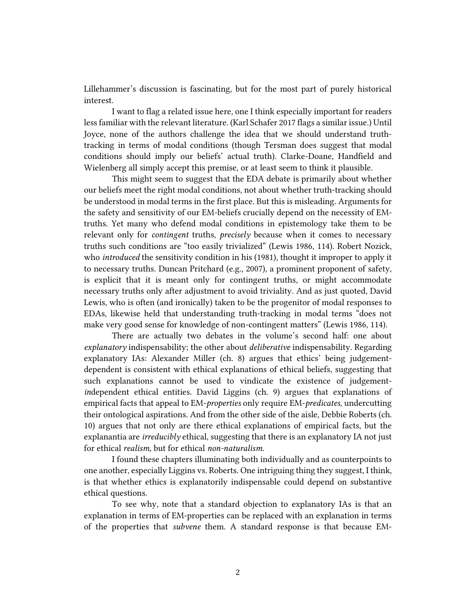Lillehammer's discussion is fascinating, but for the most part of purely historical interest.

I want to flag a related issue here, one I think especially important for readers lessfamiliar with the relevant literature. (Karl Schafer 2017 flags a similar issue.) Until Joyce, none of the authors challenge the idea that we should understand truthtracking in terms of modal conditions (though Tersman does suggest that modal conditions should imply our beliefs' actual truth). Clarke-Doane, Handfield and Wielenberg all simply accept this premise, or at least seem to think it plausible.

This might seem to suggest that the EDA debate is primarily about whether our beliefs meet the right modal conditions, not about whether truth-tracking should be understood in modal terms in the first place. But this is misleading. Arguments for the safety and sensitivity of our EM-beliefs crucially depend on the necessity of EMtruths. Yet many who defend modal conditions in epistemology take them to be relevant only for *contingent* truths, *precisely* because when it comes to necessary truths such conditions are "too easily trivialized" (Lewis 1986, 114). Robert Nozick, who *introduced* the sensitivity condition in his (1981), thought it improper to apply it to necessary truths. Duncan Pritchard (e.g., 2007), a prominent proponent of safety, is explicit that it is meant only for contingent truths, or might accommodate necessary truths only after adjustment to avoid triviality. And as just quoted, David Lewis, who is often (and ironically) taken to be the progenitor of modal responses to EDAs, likewise held that understanding truth-tracking in modal terms "does not make very good sense for knowledge of non-contingent matters" (Lewis 1986, 114).

There are actually two debates in the volume's second half: one about *explanatory* indispensability; the other about *deliberative* indispensability. Regarding explanatory IAs: Alexander Miller (ch. 8) argues that ethics' being judgementdependent is consistent with ethical explanations of ethical beliefs, suggesting that such explanations cannot be used to vindicate the existence of judgement*in*dependent ethical entities. David Liggins (ch. 9) argues that explanations of empirical facts that appeal to EM-*properties* only require EM-*predicates,* undercutting their ontological aspirations. And from the other side of the aisle, Debbie Roberts (ch. 10) argues that not only are there ethical explanations of empirical facts, but the explanantia are *irreducibly* ethical, suggesting that there is an explanatory IA not just for ethical *realism,* but for ethical *non-naturalism*.

I found these chapters illuminating both individually and as counterpoints to one another, especially Liggins vs. Roberts. One intriguing thing they suggest, I think, is that whether ethics is explanatorily indispensable could depend on substantive ethical questions.

To see why, note that a standard objection to explanatory IAs is that an explanation in terms of EM-properties can be replaced with an explanation in terms of the properties that *subvene* them. A standard response is that because EM-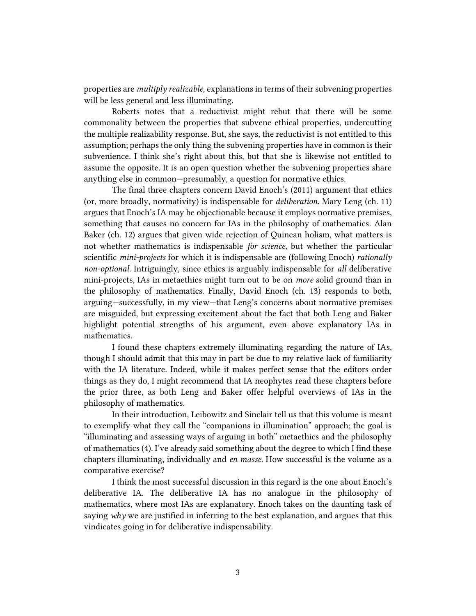properties are *multiply realizable,* explanations in terms of their subvening properties will be less general and less illuminating.

Roberts notes that a reductivist might rebut that there will be some commonality between the properties that subvene ethical properties, undercutting the multiple realizability response. But, she says, the reductivist is not entitled to this assumption; perhaps the only thing the subvening properties have in common is their subvenience. I think she's right about this, but that she is likewise not entitled to assume the opposite. It is an open question whether the subvening properties share anything else in common—presumably, a question for normative ethics.

The final three chapters concern David Enoch's (2011) argument that ethics (or, more broadly, normativity) is indispensable for *deliberation.* Mary Leng (ch. 11) argues that Enoch's IA may be objectionable because it employs normative premises, something that causes no concern for IAs in the philosophy of mathematics. Alan Baker (ch. 12) argues that given wide rejection of Quinean holism, what matters is not whether mathematics is indispensable *for science,* but whether the particular scientific *mini-projects* for which it is indispensable are (following Enoch) *rationally non-optional.* Intriguingly, since ethics is arguably indispensable for *all* deliberative mini-projects, IAs in metaethics might turn out to be on *more* solid ground than in the philosophy of mathematics. Finally, David Enoch (ch. 13) responds to both, arguing—successfully, in my view—that Leng's concerns about normative premises are misguided, but expressing excitement about the fact that both Leng and Baker highlight potential strengths of his argument, even above explanatory IAs in mathematics.

I found these chapters extremely illuminating regarding the nature of IAs, though I should admit that this may in part be due to my relative lack of familiarity with the IA literature. Indeed, while it makes perfect sense that the editors order things as they do, I might recommend that IA neophytes read these chapters before the prior three, as both Leng and Baker offer helpful overviews of IAs in the philosophy of mathematics.

In their introduction, Leibowitz and Sinclair tell us that this volume is meant to exemplify what they call the "companions in illumination" approach; the goal is "illuminating and assessing ways of arguing in both" metaethics and the philosophy of mathematics (4). I've already said something about the degree to which I find these chapters illuminating, individually and *en masse.* How successful is the volume as a comparative exercise?

I think the most successful discussion in this regard is the one about Enoch's deliberative IA. The deliberative IA has no analogue in the philosophy of mathematics, where most IAs are explanatory. Enoch takes on the daunting task of saying *why* we are justified in inferring to the best explanation, and argues that this vindicates going in for deliberative indispensability.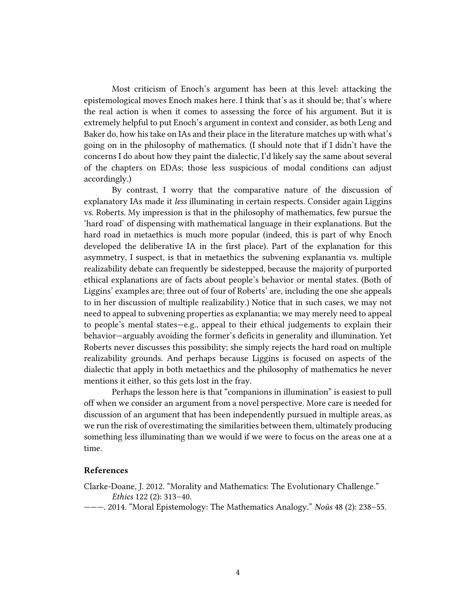Most criticism of Enoch's argument has been at this level: attacking the epistemological moves Enoch makes here. I think that's as it should be; that's where the real action is when it comes to assessing the force of his argument. But it is extremely helpful to put Enoch's argument in context and consider, as both Leng and Baker do, how his take on IAs and their place in the literature matches up with what's going on in the philosophy of mathematics. (I should note that if I didn't have the concerns I do about how they paint the dialectic, I'd likely say the same about several of the chapters on EDAs; those less suspicious of modal conditions can adjust accordingly.)

By contrast, I worry that the comparative nature of the discussion of explanatory IAs made it *less* illuminating in certain respects. Consider again Liggins vs. Roberts. My impression is that in the philosophy of mathematics, few pursue the 'hard road' of dispensing with mathematical language in their explanations. But the hard road in metaethics is much more popular (indeed, this is part of why Enoch developed the deliberative IA in the first place). Part of the explanation for this asymmetry, I suspect, is that in metaethics the subvening explanantia vs. multiple realizability debate can frequently be sidestepped, because the majority of purported ethical explanations are of facts about people's behavior or mental states. (Both of Liggins' examples are; three out of four of Roberts' are, including the one she appeals to in her discussion of multiple realizability.) Notice that in such cases, we may not need to appeal to subvening properties as explanantia; we may merely need to appeal to people's mental states—e.g., appeal to their ethical judgements to explain their behavior—arguably avoiding the former's deficits in generality and illumination. Yet Roberts never discusses this possibility; she simply rejects the hard road on multiple realizability grounds. And perhaps because Liggins is focused on aspects of the dialectic that apply in both metaethics and the philosophy of mathematics he never mentions it either, so this gets lost in the fray.

Perhaps the lesson here is that "companions in illumination" is easiest to pull off when we consider an argument from a novel perspective. More care is needed for discussion of an argument that has been independently pursued in multiple areas, as we run the risk of overestimating the similarities between them, ultimately producing something less illuminating than we would if we were to focus on the areas one at a time.

### **References**

- Clarke-Doane, J. 2012. "Morality and Mathematics: The Evolutionary Challenge." *Ethics* 122 (2): 313–40.
- ———. 2014. "Moral Epistemology: The Mathematics Analogy." *Noûs* 48 (2): 238–55.